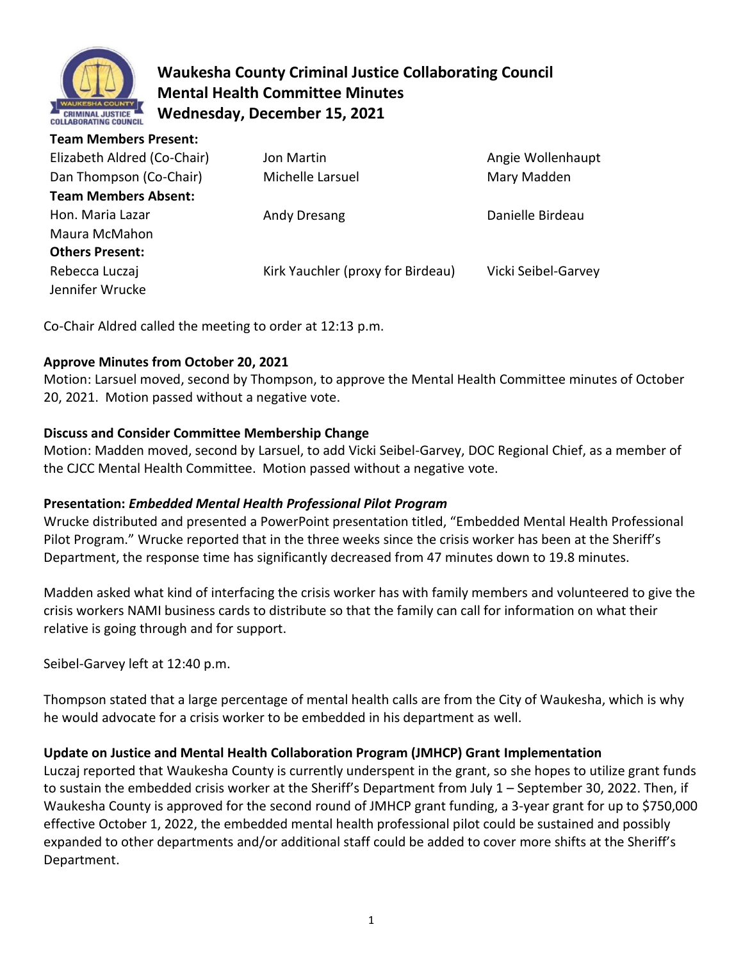

# **Waukesha County Criminal Justice Collaborating Council Mental Health Committee Minutes Wednesday, December 15, 2021**

| <b>Team Members Present:</b> |                                   |                     |
|------------------------------|-----------------------------------|---------------------|
| Elizabeth Aldred (Co-Chair)  | Jon Martin                        | Angie Wollenhaupt   |
| Dan Thompson (Co-Chair)      | Michelle Larsuel                  | Mary Madden         |
| <b>Team Members Absent:</b>  |                                   |                     |
| Hon. Maria Lazar             | Andy Dresang                      | Danielle Birdeau    |
| Maura McMahon                |                                   |                     |
| <b>Others Present:</b>       |                                   |                     |
| Rebecca Luczaj               | Kirk Yauchler (proxy for Birdeau) | Vicki Seibel-Garvey |
| Jennifer Wrucke              |                                   |                     |

Co-Chair Aldred called the meeting to order at 12:13 p.m.

## **Approve Minutes from October 20, 2021**

Motion: Larsuel moved, second by Thompson, to approve the Mental Health Committee minutes of October 20, 2021. Motion passed without a negative vote.

## **Discuss and Consider Committee Membership Change**

Motion: Madden moved, second by Larsuel, to add Vicki Seibel-Garvey, DOC Regional Chief, as a member of the CJCC Mental Health Committee. Motion passed without a negative vote.

## **Presentation:** *Embedded Mental Health Professional Pilot Program*

Wrucke distributed and presented a PowerPoint presentation titled, "Embedded Mental Health Professional Pilot Program." Wrucke reported that in the three weeks since the crisis worker has been at the Sheriff's Department, the response time has significantly decreased from 47 minutes down to 19.8 minutes.

Madden asked what kind of interfacing the crisis worker has with family members and volunteered to give the crisis workers NAMI business cards to distribute so that the family can call for information on what their relative is going through and for support.

Seibel-Garvey left at 12:40 p.m.

Thompson stated that a large percentage of mental health calls are from the City of Waukesha, which is why he would advocate for a crisis worker to be embedded in his department as well.

### **Update on Justice and Mental Health Collaboration Program (JMHCP) Grant Implementation**

Luczaj reported that Waukesha County is currently underspent in the grant, so she hopes to utilize grant funds to sustain the embedded crisis worker at the Sheriff's Department from July 1 – September 30, 2022. Then, if Waukesha County is approved for the second round of JMHCP grant funding, a 3-year grant for up to \$750,000 effective October 1, 2022, the embedded mental health professional pilot could be sustained and possibly expanded to other departments and/or additional staff could be added to cover more shifts at the Sheriff's Department.